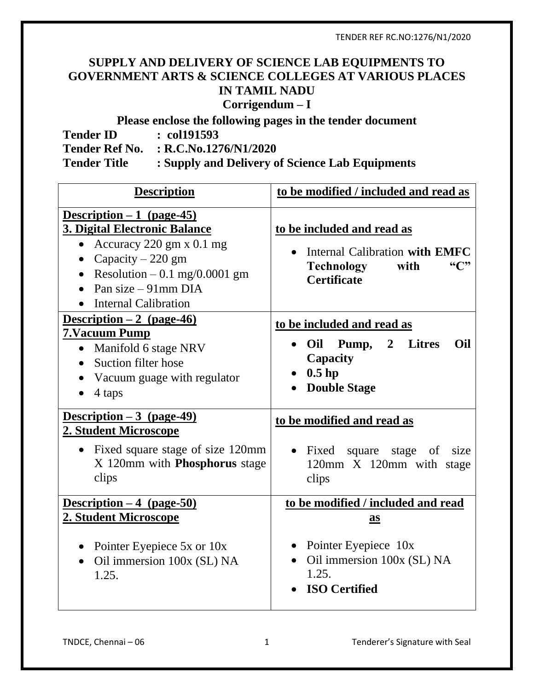## **SUPPLY AND DELIVERY OF SCIENCE LAB EQUIPMENTS TO GOVERNMENT ARTS & SCIENCE COLLEGES AT VARIOUS PLACES IN TAMIL NADU Corrigendum – I**

**Please enclose the following pages in the tender document**

|                     | There energy the following pages in the tender workinging |
|---------------------|-----------------------------------------------------------|
| <b>Tender ID</b>    | $\therefore$ col191593                                    |
|                     | Tender Ref No. : R.C.No.1276/N1/2020                      |
| <b>Tender Title</b> | : Supply and Delivery of Science Lab Equipments           |

| <b>Description</b>                                                                                                                                                                                                                                               | to be modified / included and read as                                                                                                           |
|------------------------------------------------------------------------------------------------------------------------------------------------------------------------------------------------------------------------------------------------------------------|-------------------------------------------------------------------------------------------------------------------------------------------------|
| $Description - 1 (page - 45)$<br><b>3. Digital Electronic Balance</b><br>Accuracy $220 \text{ gm} \times 0.1 \text{ mg}$<br>$\bullet$<br>Capacity $-220$ gm<br>$\bullet$<br>Resolution $-0.1$ mg/0.0001 gm<br>Pan size – 91mm DIA<br><b>Internal Calibration</b> | to be included and read as<br>Internal Calibration with EMFC<br>Technology<br>with<br><b>Certificate</b>                                        |
| Description $-2$ (page-46)<br>7. Vacuum Pump<br>• Manifold 6 stage NRV<br>Suction filter hose<br>Vacuum guage with regulator<br>4 taps                                                                                                                           | to be included and read as<br>Oil<br>Oil Pump,<br>$\boldsymbol{2}$<br><b>Litres</b><br>$\bullet$<br>Capacity<br>$0.5$ hp<br><b>Double Stage</b> |
| Description $-3$ (page-49)<br>2. Student Microscope                                                                                                                                                                                                              | to be modified and read as                                                                                                                      |
| Fixed square stage of size 120mm<br>$\bullet$<br>X 120mm with <b>Phosphorus</b> stage<br>clips                                                                                                                                                                   | • Fixed square stage of size<br>120mm X 120mm with stage<br>clips                                                                               |
| Description $-4$ (page-50)                                                                                                                                                                                                                                       | to be modified / included and read                                                                                                              |
| 2. Student Microscope<br>Pointer Eyepiece 5x or 10x<br>$\bullet$<br>Oil immersion 100x (SL) NA<br>$\bullet$<br>1.25.                                                                                                                                             | $\mathbf{a}$ s<br>Pointer Eyepiece 10x<br>Oil immersion 100x (SL) NA<br>$\bullet$<br>1.25.<br><b>ISO Certified</b>                              |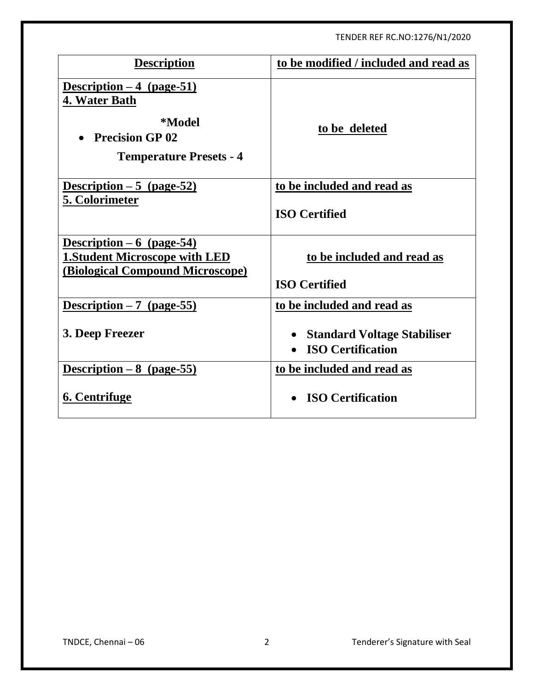| <b>Description</b>                                                                                                | to be modified / included and read as                          |
|-------------------------------------------------------------------------------------------------------------------|----------------------------------------------------------------|
| Description $-4$ (page-51)<br>4. Water Bath<br>*Model<br><b>Precision GP 02</b><br><b>Temperature Presets - 4</b> | to be deleted                                                  |
| Description $-5$ (page-52)                                                                                        | to be included and read as                                     |
| <b>5. Colorimeter</b>                                                                                             | <b>ISO Certified</b>                                           |
| Description $-6$ (page-54)<br><b>1.Student Microscope with LED</b><br><b>(Biological Compound Microscope)</b>     | to be included and read as<br><b>ISO Certified</b>             |
| Description $-7$ (page-55)                                                                                        | to be included and read as                                     |
| 3. Deep Freezer                                                                                                   | <b>Standard Voltage Stabiliser</b><br><b>ISO Certification</b> |
| Description $-8$ (page-55)                                                                                        | to be included and read as                                     |
| 6. Centrifuge                                                                                                     | <b>ISO Certification</b>                                       |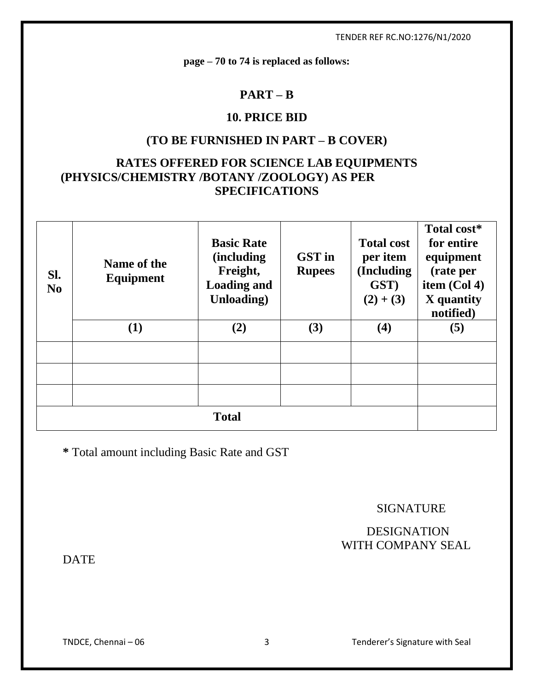**page – 70 to 74 is replaced as follows:**

### **PART – B**

# **10. PRICE BID**

### **(TO BE FURNISHED IN PART – B COVER)**

# **RATES OFFERED FOR SCIENCE LAB EQUIPMENTS (PHYSICS/CHEMISTRY /BOTANY /ZOOLOGY) AS PER SPECIFICATIONS**

| SI.<br>N <sub>0</sub> | Name of the<br>Equipment | <b>Basic Rate</b><br><i>(including)</i><br>Freight,<br><b>Loading and</b><br><b>Unloading</b> ) | <b>GST</b> in<br><b>Rupees</b> | <b>Total cost</b><br>per item<br>(Including<br>GST)<br>$(2) + (3)$ | Total cost*<br>for entire<br>equipment<br>(rate per<br>item (Col 4)<br>X quantity<br>notified) |
|-----------------------|--------------------------|-------------------------------------------------------------------------------------------------|--------------------------------|--------------------------------------------------------------------|------------------------------------------------------------------------------------------------|
|                       | $\bf(1)$                 | (2)                                                                                             | (3)                            | $\boldsymbol{(4)}$                                                 | (5)                                                                                            |
|                       |                          |                                                                                                 |                                |                                                                    |                                                                                                |
|                       |                          |                                                                                                 |                                |                                                                    |                                                                                                |
|                       |                          |                                                                                                 |                                |                                                                    |                                                                                                |
| <b>Total</b>          |                          |                                                                                                 |                                |                                                                    |                                                                                                |

**\*** Total amount including Basic Rate and GST

#### SIGNATURE

### DESIGNATION WITH COMPANY SEAL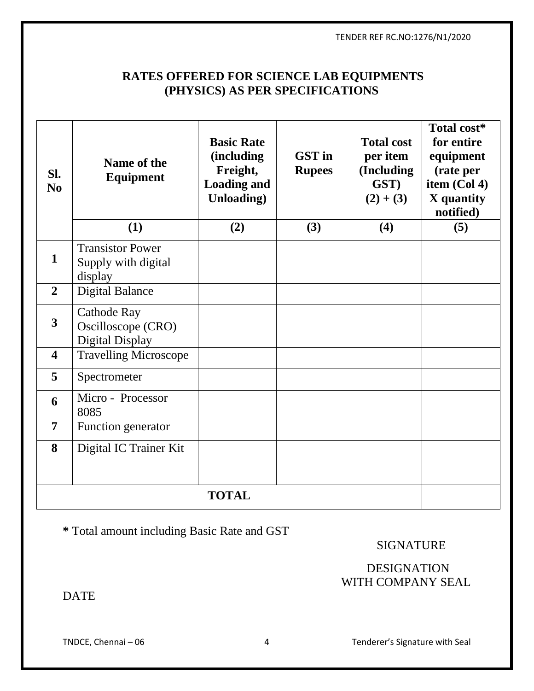## **RATES OFFERED FOR SCIENCE LAB EQUIPMENTS (PHYSICS) AS PER SPECIFICATIONS**

| SI.<br>N <sub>0</sub>   | Name of the<br><b>Equipment</b><br>(1)                             | <b>Basic Rate</b><br><i>(including)</i><br>Freight,<br><b>Loading and</b><br>Unloading)<br>(2) | <b>GST</b> in<br><b>Rupees</b><br>(3) | <b>Total cost</b><br>per item<br>(Including<br>GST)<br>$(2) + (3)$<br>(4) | Total cost*<br>for entire<br>equipment<br>(rate per<br>item (Col 4)<br>X quantity<br>notified)<br>(5) |
|-------------------------|--------------------------------------------------------------------|------------------------------------------------------------------------------------------------|---------------------------------------|---------------------------------------------------------------------------|-------------------------------------------------------------------------------------------------------|
| 1                       | <b>Transistor Power</b><br>Supply with digital<br>display          |                                                                                                |                                       |                                                                           |                                                                                                       |
| $\overline{2}$          | <b>Digital Balance</b>                                             |                                                                                                |                                       |                                                                           |                                                                                                       |
| $\overline{3}$          | <b>Cathode Ray</b><br>Oscilloscope (CRO)<br><b>Digital Display</b> |                                                                                                |                                       |                                                                           |                                                                                                       |
| $\overline{\mathbf{4}}$ | <b>Travelling Microscope</b>                                       |                                                                                                |                                       |                                                                           |                                                                                                       |
| 5                       | Spectrometer                                                       |                                                                                                |                                       |                                                                           |                                                                                                       |
| 6                       | Micro - Processor<br>8085                                          |                                                                                                |                                       |                                                                           |                                                                                                       |
| $\overline{7}$          | Function generator                                                 |                                                                                                |                                       |                                                                           |                                                                                                       |
| 8                       | Digital IC Trainer Kit                                             |                                                                                                |                                       |                                                                           |                                                                                                       |
| <b>TOTAL</b>            |                                                                    |                                                                                                |                                       |                                                                           |                                                                                                       |

**\*** Total amount including Basic Rate and GST

SIGNATURE

# DESIGNATION WITH COMPANY SEAL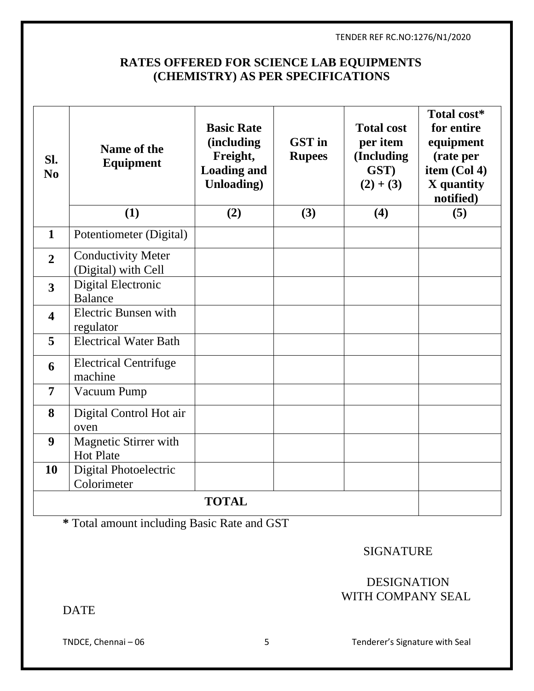# **RATES OFFERED FOR SCIENCE LAB EQUIPMENTS (CHEMISTRY) AS PER SPECIFICATIONS**

| SI.<br>N <sub>0</sub>   | Name of the<br>Equipment<br>(1)                  | <b>Basic Rate</b><br>(including<br>Freight,<br><b>Loading and</b><br>Unloading)<br>(2) | <b>GST</b> in<br><b>Rupees</b><br>(3) | <b>Total cost</b><br>per item<br>(Including<br>GST)<br>$(2) + (3)$<br>(4) | Total cost*<br>for entire<br>equipment<br>(rate per<br>item (Col 4)<br>X quantity<br>notified)<br>(5) |
|-------------------------|--------------------------------------------------|----------------------------------------------------------------------------------------|---------------------------------------|---------------------------------------------------------------------------|-------------------------------------------------------------------------------------------------------|
| $\mathbf{1}$            | Potentiometer (Digital)                          |                                                                                        |                                       |                                                                           |                                                                                                       |
|                         |                                                  |                                                                                        |                                       |                                                                           |                                                                                                       |
| $\overline{2}$          | <b>Conductivity Meter</b><br>(Digital) with Cell |                                                                                        |                                       |                                                                           |                                                                                                       |
| 3                       | Digital Electronic<br><b>Balance</b>             |                                                                                        |                                       |                                                                           |                                                                                                       |
| $\overline{\mathbf{4}}$ | <b>Electric Bunsen with</b><br>regulator         |                                                                                        |                                       |                                                                           |                                                                                                       |
| 5                       | <b>Electrical Water Bath</b>                     |                                                                                        |                                       |                                                                           |                                                                                                       |
| 6                       | <b>Electrical Centrifuge</b><br>machine          |                                                                                        |                                       |                                                                           |                                                                                                       |
| $\overline{7}$          | Vacuum Pump                                      |                                                                                        |                                       |                                                                           |                                                                                                       |
| 8                       | Digital Control Hot air<br>oven                  |                                                                                        |                                       |                                                                           |                                                                                                       |
| 9                       | Magnetic Stirrer with<br><b>Hot Plate</b>        |                                                                                        |                                       |                                                                           |                                                                                                       |
| 10                      | Digital Photoelectric<br>Colorimeter             |                                                                                        |                                       |                                                                           |                                                                                                       |
|                         |                                                  | <b>TOTAL</b>                                                                           |                                       |                                                                           |                                                                                                       |

**\*** Total amount including Basic Rate and GST

SIGNATURE

# DESIGNATION WITH COMPANY SEAL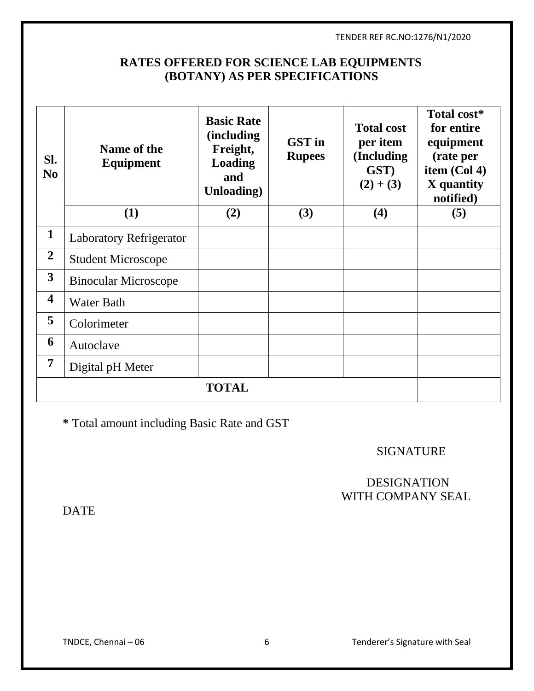# **RATES OFFERED FOR SCIENCE LAB EQUIPMENTS (BOTANY) AS PER SPECIFICATIONS**

| SI.<br>N <sub>0</sub>   | Name of the<br><b>Equipment</b><br>(1) | <b>Basic Rate</b><br><i>(including)</i><br>Freight,<br><b>Loading</b><br>and<br>Unloading)<br>(2) | <b>GST</b> in<br><b>Rupees</b><br>(3) | <b>Total cost</b><br>per item<br>(Including<br>GST)<br>$(2) + (3)$<br>(4) | Total cost*<br>for entire<br>equipment<br>(rate per<br>item (Col 4)<br>X quantity<br>notified)<br>(5) |  |
|-------------------------|----------------------------------------|---------------------------------------------------------------------------------------------------|---------------------------------------|---------------------------------------------------------------------------|-------------------------------------------------------------------------------------------------------|--|
|                         |                                        |                                                                                                   |                                       |                                                                           |                                                                                                       |  |
| $\mathbf{1}$            | <b>Laboratory Refrigerator</b>         |                                                                                                   |                                       |                                                                           |                                                                                                       |  |
| $\overline{2}$          | <b>Student Microscope</b>              |                                                                                                   |                                       |                                                                           |                                                                                                       |  |
| $\overline{\mathbf{3}}$ | <b>Binocular Microscope</b>            |                                                                                                   |                                       |                                                                           |                                                                                                       |  |
| $\overline{\mathbf{4}}$ | <b>Water Bath</b>                      |                                                                                                   |                                       |                                                                           |                                                                                                       |  |
| 5                       | Colorimeter                            |                                                                                                   |                                       |                                                                           |                                                                                                       |  |
| 6                       | Autoclave                              |                                                                                                   |                                       |                                                                           |                                                                                                       |  |
| 7                       | Digital pH Meter                       |                                                                                                   |                                       |                                                                           |                                                                                                       |  |
|                         | <b>TOTAL</b>                           |                                                                                                   |                                       |                                                                           |                                                                                                       |  |

**\*** Total amount including Basic Rate and GST

SIGNATURE

## DESIGNATION WITH COMPANY SEAL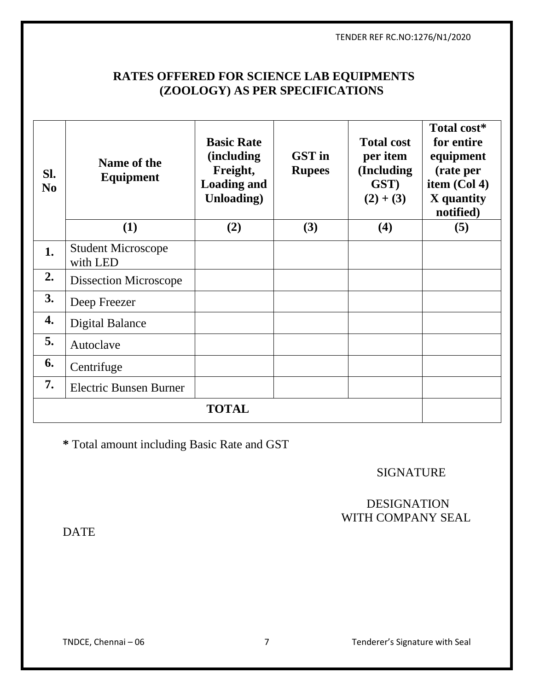# **RATES OFFERED FOR SCIENCE LAB EQUIPMENTS (ZOOLOGY) AS PER SPECIFICATIONS**

| SI.<br>N <sub>0</sub> | Name of the<br><b>Equipment</b><br>(1) | <b>Basic Rate</b><br><i>(including)</i><br>Freight,<br><b>Loading and</b><br><b>Unloading</b> )<br>(2) | <b>GST</b> in<br><b>Rupees</b><br>(3) | <b>Total cost</b><br>per item<br>(Including<br>GST)<br>$(2) + (3)$<br>(4) | Total cost*<br>for entire<br>equipment<br>(rate per<br>item $(Col 4)$<br>X quantity<br>notified)<br>(5) |
|-----------------------|----------------------------------------|--------------------------------------------------------------------------------------------------------|---------------------------------------|---------------------------------------------------------------------------|---------------------------------------------------------------------------------------------------------|
| 1.                    | <b>Student Microscope</b><br>with LED  |                                                                                                        |                                       |                                                                           |                                                                                                         |
| 2.                    | <b>Dissection Microscope</b>           |                                                                                                        |                                       |                                                                           |                                                                                                         |
| 3.                    | Deep Freezer                           |                                                                                                        |                                       |                                                                           |                                                                                                         |
| 4.                    | <b>Digital Balance</b>                 |                                                                                                        |                                       |                                                                           |                                                                                                         |
| 5.                    | Autoclave                              |                                                                                                        |                                       |                                                                           |                                                                                                         |
| 6.                    | Centrifuge                             |                                                                                                        |                                       |                                                                           |                                                                                                         |
| 7.                    | <b>Electric Bunsen Burner</b>          |                                                                                                        |                                       |                                                                           |                                                                                                         |
| <b>TOTAL</b>          |                                        |                                                                                                        |                                       |                                                                           |                                                                                                         |

**\*** Total amount including Basic Rate and GST

SIGNATURE

## DESIGNATION WITH COMPANY SEAL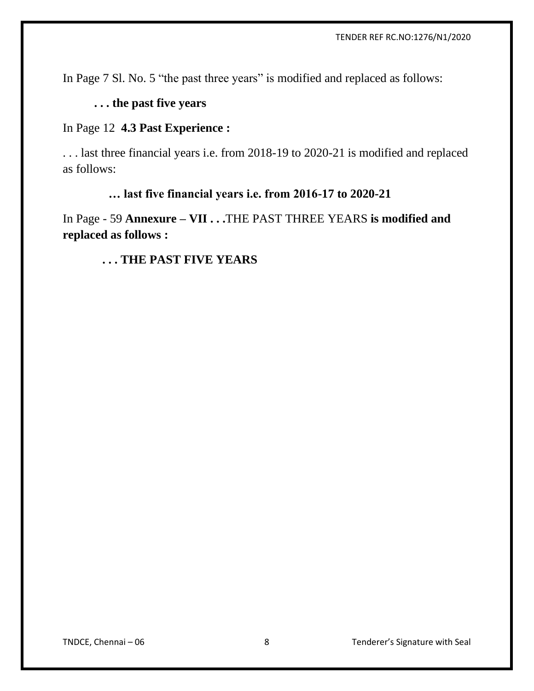In Page 7 Sl. No. 5 "the past three years" is modified and replaced as follows:

# **. . . the past five years**

### In Page 12 **4.3 Past Experience :**

. . . last three financial years i.e. from 2018-19 to 2020-21 is modified and replaced as follows:

### **… last five financial years i.e. from 2016-17 to 2020-21**

In Page - 59 **Annexure – VII . . .**THE PAST THREE YEARS **is modified and replaced as follows :**

### **. . . THE PAST FIVE YEARS**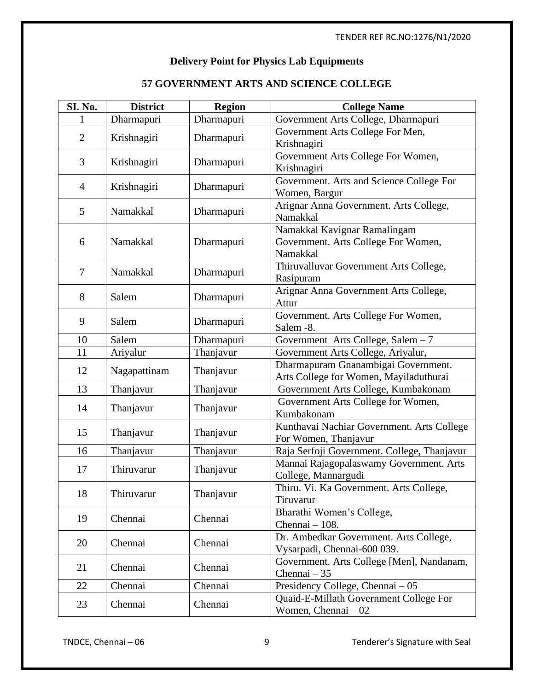### **Delivery Point for Physics Lab Equipments**

### **57 GOVERNMENT ARTS AND SCIENCE COLLEGE**

| SI. No.        | <b>District</b> | <b>Region</b> | <b>College Name</b>                                                             |
|----------------|-----------------|---------------|---------------------------------------------------------------------------------|
|                | Dharmapuri      | Dharmapuri    | Government Arts College, Dharmapuri                                             |
| $\overline{2}$ | Krishnagiri     | Dharmapuri    | Government Arts College For Men,<br>Krishnagiri                                 |
| 3              | Krishnagiri     | Dharmapuri    | Government Arts College For Women,<br>Krishnagiri                               |
| 4              | Krishnagiri     | Dharmapuri    | Government. Arts and Science College For<br>Women, Bargur                       |
| 5              | Namakkal        | Dharmapuri    | Arignar Anna Government. Arts College,<br>Namakkal                              |
| 6              | Namakkal        | Dharmapuri    | Namakkal Kavignar Ramalingam<br>Government. Arts College For Women,<br>Namakkal |
| 7              | Namakkal        | Dharmapuri    | Thiruvalluvar Government Arts College,<br>Rasipuram                             |
| 8              | Salem           | Dharmapuri    | Arignar Anna Government Arts College,<br>Attur                                  |
| 9              | Salem           | Dharmapuri    | Government. Arts College For Women,<br>Salem -8.                                |
| 10             | Salem           | Dharmapuri    | Government Arts College, Salem - 7                                              |
| 11             | Ariyalur        | Thanjavur     | Government Arts College, Ariyalur,                                              |
| 12             | Nagapattinam    | Thanjavur     | Dharmapuram Gnanambigai Government.<br>Arts College for Women, Mayiladuthurai   |
| 13             | Thanjavur       | Thanjavur     | Government Arts College, Kumbakonam                                             |
| 14             | Thanjavur       | Thanjavur     | Government Arts College for Women,<br>Kumbakonam                                |
| 15             | Thanjavur       | Thanjavur     | Kunthavai Nachiar Government. Arts College<br>For Women, Thanjavur              |
| 16             | Thanjavur       | Thanjavur     | Raja Serfoji Government. College, Thanjavur                                     |
| 17             | Thiruvarur      | Thanjavur     | Mannai Rajagopalaswamy Government. Arts<br>College, Mannargudi                  |
| 18             | Thiruvarur      | Thanjavur     | Thiru. Vi. Ka Government. Arts College,<br>Tiruvarur                            |
| 19             | Chennai         | Chennai       | Bharathi Women's College,<br>Chennai $-108$ .                                   |
| 20             | Chennai         | Chennai       | Dr. Ambedkar Government. Arts College,<br>Vysarpadi, Chennai-600 039.           |
| 21             | Chennai         | Chennai       | Government. Arts College [Men], Nandanam,<br>Chennai - 35                       |
| 22             | Chennai         | Chennai       | Presidency College, Chennai - 05                                                |
| 23             | Chennai         | Chennai       | Quaid-E-Millath Government College For<br>Women, Chennai $-02$                  |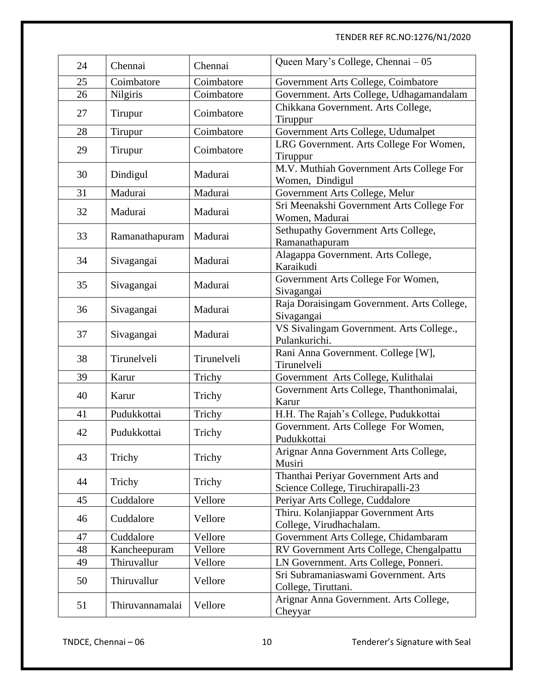| 24 | Chennai         | Chennai     | Queen Mary's College, Chennai - 05                                         |
|----|-----------------|-------------|----------------------------------------------------------------------------|
| 25 | Coimbatore      | Coimbatore  | Government Arts College, Coimbatore                                        |
| 26 | Nilgiris        | Coimbatore  | Government. Arts College, Udhagamandalam                                   |
| 27 | Tirupur         | Coimbatore  | Chikkana Government. Arts College,<br>Tiruppur                             |
| 28 | Tirupur         | Coimbatore  | Government Arts College, Udumalpet                                         |
| 29 | Tirupur         | Coimbatore  | LRG Government. Arts College For Women,<br>Tiruppur                        |
| 30 | Dindigul        | Madurai     | M.V. Muthiah Government Arts College For<br>Women, Dindigul                |
| 31 | Madurai         | Madurai     | Government Arts College, Melur                                             |
| 32 | Madurai         | Madurai     | Sri Meenakshi Government Arts College For<br>Women, Madurai                |
| 33 | Ramanathapuram  | Madurai     | Sethupathy Government Arts College,<br>Ramanathapuram                      |
| 34 | Sivagangai      | Madurai     | Alagappa Government. Arts College,<br>Karaikudi                            |
| 35 | Sivagangai      | Madurai     | Government Arts College For Women,<br>Sivagangai                           |
| 36 | Sivagangai      | Madurai     | Raja Doraisingam Government. Arts College,<br>Sivagangai                   |
| 37 | Sivagangai      | Madurai     | VS Sivalingam Government. Arts College.,<br>Pulankurichi.                  |
| 38 | Tirunelveli     | Tirunelveli | Rani Anna Government. College [W],<br>Tirunelveli                          |
| 39 | Karur           | Trichy      | Government Arts College, Kulithalai                                        |
| 40 | Karur           | Trichy      | Government Arts College, Thanthonimalai,<br>Karur                          |
| 41 | Pudukkottai     | Trichy      | H.H. The Rajah's College, Pudukkottai                                      |
| 42 | Pudukkottai     | Trichy      | Government. Arts College For Women,<br>Pudukkottai                         |
| 43 | Trichy          | Trichy      | Arignar Anna Government Arts College,<br>Musiri                            |
| 44 | Trichy          | Trichy      | Thanthai Periyar Government Arts and<br>Science College, Tiruchirapalli-23 |
| 45 | Cuddalore       | Vellore     | Periyar Arts College, Cuddalore                                            |
| 46 | Cuddalore       | Vellore     | Thiru. Kolanjiappar Government Arts<br>College, Virudhachalam.             |
| 47 | Cuddalore       | Vellore     | Government Arts College, Chidambaram                                       |
| 48 | Kancheepuram    | Vellore     | RV Government Arts College, Chengalpattu                                   |
| 49 | Thiruvallur     | Vellore     | LN Government. Arts College, Ponneri.                                      |
| 50 | Thiruvallur     | Vellore     | Sri Subramaniaswami Government. Arts<br>College, Tiruttani.                |
| 51 | Thiruvannamalai | Vellore     | Arignar Anna Government. Arts College,<br>Cheyyar                          |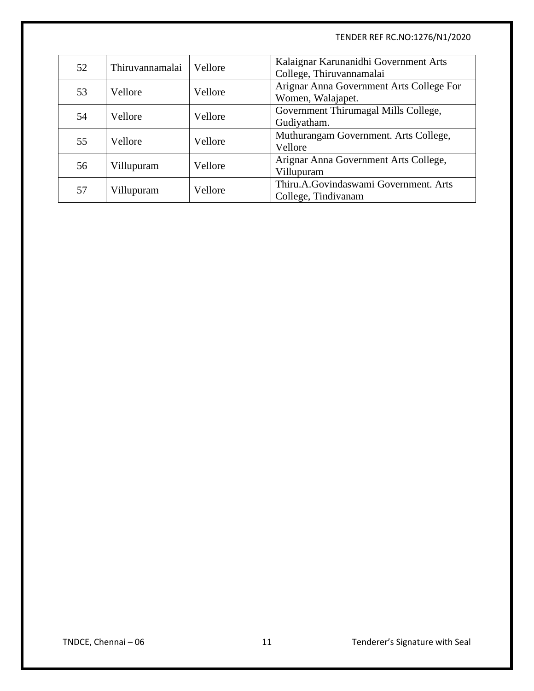| 52 | Thiruvannamalai | Vellore | Kalaignar Karunanidhi Government Arts<br>College, Thiruvannamalai |
|----|-----------------|---------|-------------------------------------------------------------------|
| 53 | Vellore         | Vellore | Arignar Anna Government Arts College For<br>Women, Walajapet.     |
| 54 | Vellore         | Vellore | Government Thirumagal Mills College,<br>Gudiyatham.               |
| 55 | Vellore         | Vellore | Muthurangam Government. Arts College,<br>Vellore                  |
| 56 | Villupuram      | Vellore | Arignar Anna Government Arts College,<br>Villupuram               |
| 57 | Villupuram      | Vellore | Thiru.A.Govindaswami Government. Arts<br>College, Tindivanam      |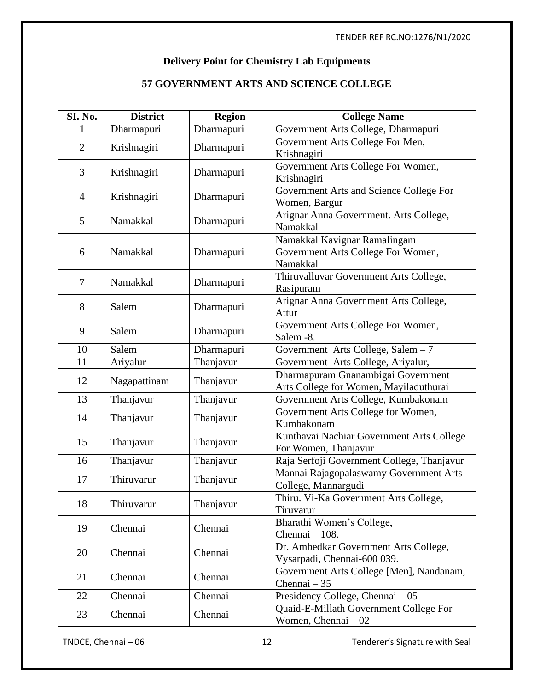### **Delivery Point for Chemistry Lab Equipments**

# **57 GOVERNMENT ARTS AND SCIENCE COLLEGE**

| SI. No.        | <b>District</b> | <b>Region</b> | <b>College Name</b>                                                            |
|----------------|-----------------|---------------|--------------------------------------------------------------------------------|
|                | Dharmapuri      | Dharmapuri    | Government Arts College, Dharmapuri                                            |
| $\overline{2}$ | Krishnagiri     | Dharmapuri    | Government Arts College For Men,<br>Krishnagiri                                |
| 3              | Krishnagiri     | Dharmapuri    | Government Arts College For Women,<br>Krishnagiri                              |
| $\overline{4}$ | Krishnagiri     | Dharmapuri    | Government Arts and Science College For<br>Women, Bargur                       |
| 5              | Namakkal        | Dharmapuri    | Arignar Anna Government. Arts College,<br>Namakkal                             |
| 6              | Namakkal        | Dharmapuri    | Namakkal Kavignar Ramalingam<br>Government Arts College For Women,<br>Namakkal |
| 7              | Namakkal        | Dharmapuri    | Thiruvalluvar Government Arts College,<br>Rasipuram                            |
| 8              | Salem           | Dharmapuri    | Arignar Anna Government Arts College,<br>Attur                                 |
| 9              | Salem           | Dharmapuri    | Government Arts College For Women,<br>Salem -8.                                |
| 10             | Salem           | Dharmapuri    | Government Arts College, Salem - 7                                             |
| 11             | Ariyalur        | Thanjavur     | Government Arts College, Ariyalur,                                             |
| 12             | Nagapattinam    | Thanjavur     | Dharmapuram Gnanambigai Government<br>Arts College for Women, Mayiladuthurai   |
| 13             | Thanjavur       | Thanjavur     | Government Arts College, Kumbakonam                                            |
| 14             | Thanjavur       | Thanjavur     | Government Arts College for Women,<br>Kumbakonam                               |
| 15             | Thanjavur       | Thanjavur     | Kunthavai Nachiar Government Arts College<br>For Women, Thanjavur              |
| 16             | Thanjavur       | Thanjavur     | Raja Serfoji Government College, Thanjavur                                     |
| 17             | Thiruvarur      | Thanjavur     | Mannai Rajagopalaswamy Government Arts<br>College, Mannargudi                  |
| 18             | Thiruvarur      | Thanjavur     | Thiru. Vi-Ka Government Arts College,<br>Tiruvarur                             |
| 19             | Chennai         | Chennai       | Bharathi Women's College,<br>Chennai - 108.                                    |
| 20             | Chennai         | Chennai       | Dr. Ambedkar Government Arts College,<br>Vysarpadi, Chennai-600 039.           |
| 21             | Chennai         | Chennai       | Government Arts College [Men], Nandanam,<br>Chennai $-35$                      |
| 22             | Chennai         | Chennai       | Presidency College, Chennai – 05                                               |
| 23             | Chennai         | Chennai       | Quaid-E-Millath Government College For<br>Women, Chennai - 02                  |

TNDCE, Chennai – 06 12 12 Tenderer's Signature with Seal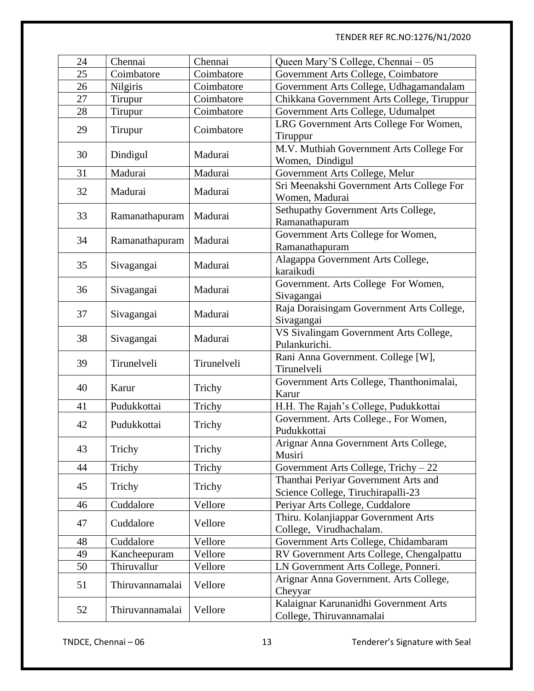| 24 | Chennai         | Chennai     | Queen Mary'S College, Chennai - 05                |
|----|-----------------|-------------|---------------------------------------------------|
| 25 | Coimbatore      | Coimbatore  | Government Arts College, Coimbatore               |
| 26 | Nilgiris        | Coimbatore  | Government Arts College, Udhagamandalam           |
| 27 | Tirupur         | Coimbatore  | Chikkana Government Arts College, Tiruppur        |
| 28 | Tirupur         | Coimbatore  | Government Arts College, Udumalpet                |
|    |                 |             | LRG Government Arts College For Women,            |
| 29 | Tirupur         | Coimbatore  | Tiruppur                                          |
|    |                 |             | M.V. Muthiah Government Arts College For          |
| 30 | Dindigul        | Madurai     | Women, Dindigul                                   |
| 31 | Madurai         | Madurai     | Government Arts College, Melur                    |
| 32 | Madurai         | Madurai     | Sri Meenakshi Government Arts College For         |
|    |                 |             | Women, Madurai                                    |
| 33 | Ramanathapuram  | Madurai     | Sethupathy Government Arts College,               |
|    |                 |             | Ramanathapuram                                    |
| 34 | Ramanathapuram  | Madurai     | Government Arts College for Women,                |
|    |                 |             | Ramanathapuram                                    |
| 35 | Sivagangai      | Madurai     | Alagappa Government Arts College,                 |
|    |                 |             | karaikudi                                         |
| 36 | Sivagangai      | Madurai     | Government. Arts College For Women,<br>Sivagangai |
|    |                 |             | Raja Doraisingam Government Arts College,         |
| 37 | Sivagangai      | Madurai     | Sivagangai                                        |
|    |                 |             | VS Sivalingam Government Arts College,            |
| 38 | Sivagangai      | Madurai     | Pulankurichi.                                     |
|    |                 | Tirunelveli | Rani Anna Government. College [W],                |
| 39 | Tirunelveli     |             | Tirunelveli                                       |
|    |                 |             | Government Arts College, Thanthonimalai,          |
| 40 | Karur           | Trichy      | Karur                                             |
| 41 | Pudukkottai     | Trichy      | H.H. The Rajah's College, Pudukkottai             |
|    |                 |             | Government. Arts College., For Women,             |
| 42 | Pudukkottai     | Trichy      | Pudukkottai                                       |
| 43 | Trichy          | Trichy      | Arignar Anna Government Arts College,             |
|    |                 |             | Musiri                                            |
| 44 | Trichy          | Trichy      | Government Arts College, Trichy $-22$             |
| 45 | Trichy          | Trichy      | Thanthai Periyar Government Arts and              |
|    |                 |             | Science College, Tiruchirapalli-23                |
| 46 | Cuddalore       | Vellore     | Periyar Arts College, Cuddalore                   |
| 47 | Cuddalore       | Vellore     | Thiru. Kolanjiappar Government Arts               |
|    |                 |             | College, Virudhachalam.                           |
| 48 | Cuddalore       | Vellore     | Government Arts College, Chidambaram              |
| 49 | Kancheepuram    | Vellore     | RV Government Arts College, Chengalpattu          |
| 50 | Thiruvallur     | Vellore     | LN Government Arts College, Ponneri.              |
| 51 | Thiruvannamalai | Vellore     | Arignar Anna Government. Arts College,            |
|    |                 |             | Cheyyar                                           |
| 52 | Thiruvannamalai | Vellore     | Kalaignar Karunanidhi Government Arts             |
|    |                 |             | College, Thiruvannamalai                          |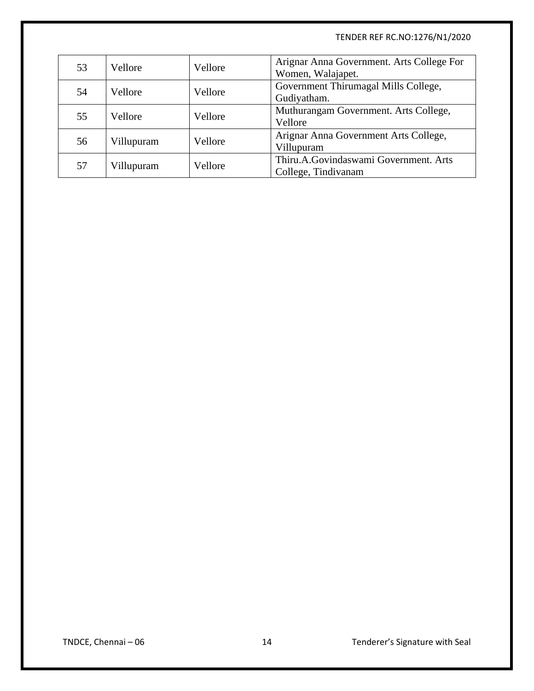| 53 | Vellore    | Vellore | Arignar Anna Government. Arts College For<br>Women, Walajapet. |
|----|------------|---------|----------------------------------------------------------------|
| 54 | Vellore    | Vellore | Government Thirumagal Mills College,<br>Gudiyatham.            |
| 55 | Vellore    | Vellore | Muthurangam Government. Arts College,<br>Vellore               |
| 56 | Villupuram | Vellore | Arignar Anna Government Arts College,<br>Villupuram            |
| 57 | Villupuram | Vellore | Thiru.A.Govindaswami Government. Arts<br>College, Tindivanam   |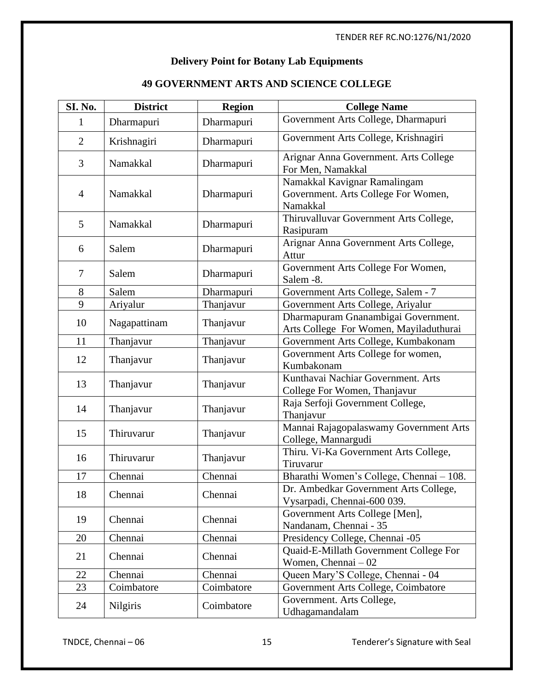### **Delivery Point for Botany Lab Equipments**

| SI. No.        | <b>District</b> | <b>Region</b> | <b>College Name</b>                                                             |
|----------------|-----------------|---------------|---------------------------------------------------------------------------------|
| 1              | Dharmapuri      | Dharmapuri    | Government Arts College, Dharmapuri                                             |
| $\overline{2}$ | Krishnagiri     | Dharmapuri    | Government Arts College, Krishnagiri                                            |
| 3              | Namakkal        | Dharmapuri    | Arignar Anna Government. Arts College<br>For Men, Namakkal                      |
| $\overline{4}$ | Namakkal        | Dharmapuri    | Namakkal Kavignar Ramalingam<br>Government. Arts College For Women,<br>Namakkal |
| 5              | Namakkal        | Dharmapuri    | Thiruvalluvar Government Arts College,<br>Rasipuram                             |
| 6              | Salem           | Dharmapuri    | Arignar Anna Government Arts College,<br>Attur                                  |
| $\tau$         | Salem           | Dharmapuri    | Government Arts College For Women,<br>Salem -8.                                 |
| 8              | Salem           | Dharmapuri    | Government Arts College, Salem - 7                                              |
| 9              | Ariyalur        | Thanjavur     | Government Arts College, Ariyalur                                               |
| 10             | Nagapattinam    | Thanjavur     | Dharmapuram Gnanambigai Government.<br>Arts College For Women, Mayiladuthurai   |
| 11             | Thanjavur       | Thanjavur     | Government Arts College, Kumbakonam                                             |
| 12             | Thanjavur       | Thanjavur     | Government Arts College for women,<br>Kumbakonam                                |
| 13             | Thanjavur       | Thanjavur     | Kunthavai Nachiar Government. Arts<br>College For Women, Thanjavur              |
| 14             | Thanjavur       | Thanjavur     | Raja Serfoji Government College,<br>Thanjavur                                   |
| 15             | Thiruvarur      | Thanjavur     | Mannai Rajagopalaswamy Government Arts<br>College, Mannargudi                   |
| 16             | Thiruvarur      | Thanjavur     | Thiru. Vi-Ka Government Arts College,<br>Tiruvarur                              |
| 17             | Chennai         | Chennai       | Bharathi Women's College, Chennai - 108.                                        |
| 18             | Chennai         | Chennai       | Dr. Ambedkar Government Arts College,<br>Vysarpadi, Chennai-600 039.            |
| 19             | Chennai         | Chennai       | Government Arts College [Men],<br>Nandanam, Chennai - 35                        |
| 20             | Chennai         | Chennai       | Presidency College, Chennai -05                                                 |
| 21             | Chennai         | Chennai       | Quaid-E-Millath Government College For<br>Women, Chennai - 02                   |
| 22             | Chennai         | Chennai       | Queen Mary'S College, Chennai - 04                                              |
| 23             | Coimbatore      | Coimbatore    | Government Arts College, Coimbatore                                             |
| 24             | <b>Nilgiris</b> | Coimbatore    | Government. Arts College,<br>Udhagamandalam                                     |

### **49 GOVERNMENT ARTS AND SCIENCE COLLEGE**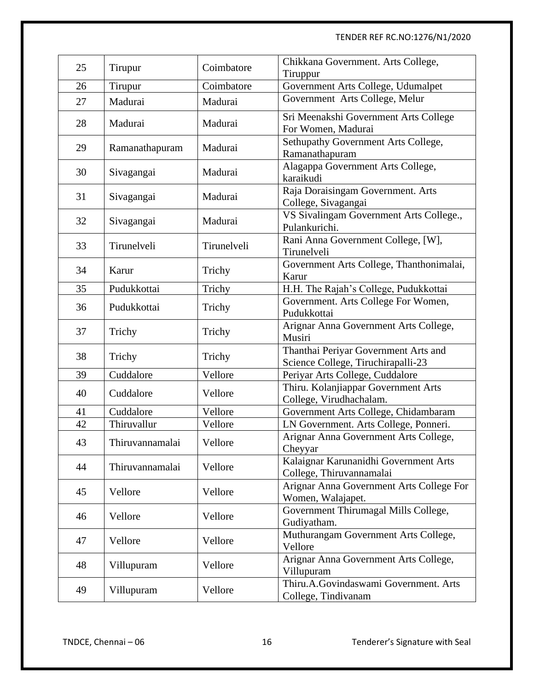| 25 | Tirupur         | Coimbatore  | Chikkana Government. Arts College,<br>Tiruppur                             |
|----|-----------------|-------------|----------------------------------------------------------------------------|
| 26 | Tirupur         | Coimbatore  | Government Arts College, Udumalpet                                         |
| 27 | Madurai         | Madurai     | Government Arts College, Melur                                             |
| 28 | Madurai         | Madurai     | Sri Meenakshi Government Arts College<br>For Women, Madurai                |
| 29 | Ramanathapuram  | Madurai     | Sethupathy Government Arts College,<br>Ramanathapuram                      |
| 30 | Sivagangai      | Madurai     | Alagappa Government Arts College,<br>karaikudi                             |
| 31 | Sivagangai      | Madurai     | Raja Doraisingam Government. Arts<br>College, Sivagangai                   |
| 32 | Sivagangai      | Madurai     | VS Sivalingam Government Arts College.,<br>Pulankurichi.                   |
| 33 | Tirunelveli     | Tirunelveli | Rani Anna Government College, [W],<br>Tirunelveli                          |
| 34 | Karur           | Trichy      | Government Arts College, Thanthonimalai,<br>Karur                          |
| 35 | Pudukkottai     | Trichy      | H.H. The Rajah's College, Pudukkottai                                      |
| 36 | Pudukkottai     | Trichy      | Government. Arts College For Women,<br>Pudukkottai                         |
| 37 | Trichy          | Trichy      | Arignar Anna Government Arts College,<br>Musiri                            |
| 38 | Trichy          | Trichy      | Thanthai Periyar Government Arts and<br>Science College, Tiruchirapalli-23 |
| 39 | Cuddalore       | Vellore     | Periyar Arts College, Cuddalore                                            |
| 40 | Cuddalore       | Vellore     | Thiru. Kolanjiappar Government Arts<br>College, Virudhachalam.             |
| 41 | Cuddalore       | Vellore     | Government Arts College, Chidambaram                                       |
| 42 | Thiruvallur     | Vellore     | LN Government. Arts College, Ponneri.                                      |
| 43 | Thiruvannamalai | Vellore     | Arignar Anna Government Arts College,<br>Cheyyar                           |
| 44 | Thiruvannamalai | Vellore     | Kalaignar Karunanidhi Government Arts<br>College, Thiruvannamalai          |
| 45 | Vellore         | Vellore     | Arignar Anna Government Arts College For<br>Women, Walajapet.              |
| 46 | Vellore         | Vellore     | Government Thirumagal Mills College,<br>Gudiyatham.                        |
| 47 | Vellore         | Vellore     | Muthurangam Government Arts College,<br>Vellore                            |
| 48 | Villupuram      | Vellore     | Arignar Anna Government Arts College,<br>Villupuram                        |
| 49 | Villupuram      | Vellore     | Thiru.A.Govindaswami Government. Arts<br>College, Tindivanam               |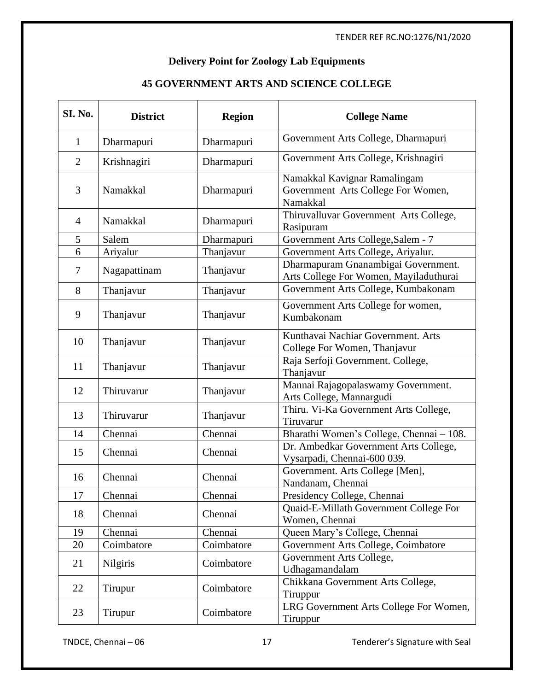### **Delivery Point for Zoology Lab Equipments**

# **45 GOVERNMENT ARTS AND SCIENCE COLLEGE**

| <b>SI. No.</b> | <b>District</b> | <b>Region</b> | <b>College Name</b>                                                            |
|----------------|-----------------|---------------|--------------------------------------------------------------------------------|
| $\mathbf{1}$   | Dharmapuri      | Dharmapuri    | Government Arts College, Dharmapuri                                            |
| $\overline{2}$ | Krishnagiri     | Dharmapuri    | Government Arts College, Krishnagiri                                           |
| 3              | Namakkal        | Dharmapuri    | Namakkal Kavignar Ramalingam<br>Government Arts College For Women,<br>Namakkal |
| $\overline{4}$ | Namakkal        | Dharmapuri    | Thiruvalluvar Government Arts College,<br>Rasipuram                            |
| 5              | Salem           | Dharmapuri    | Government Arts College, Salem - 7                                             |
| 6              | Ariyalur        | Thanjavur     | Government Arts College, Ariyalur.                                             |
| 7              | Nagapattinam    | Thanjavur     | Dharmapuram Gnanambigai Government.<br>Arts College For Women, Mayiladuthurai  |
| 8              | Thanjavur       | Thanjavur     | Government Arts College, Kumbakonam                                            |
| 9              | Thanjavur       | Thanjavur     | Government Arts College for women,<br>Kumbakonam                               |
| 10             | Thanjavur       | Thanjavur     | Kunthavai Nachiar Government. Arts<br>College For Women, Thanjavur             |
| 11             | Thanjavur       | Thanjavur     | Raja Serfoji Government. College,<br>Thanjavur                                 |
| 12             | Thiruvarur      | Thanjavur     | Mannai Rajagopalaswamy Government.<br>Arts College, Mannargudi                 |
| 13             | Thiruvarur      | Thanjavur     | Thiru. Vi-Ka Government Arts College,<br>Tiruvarur                             |
| 14             | Chennai         | Chennai       | Bharathi Women's College, Chennai - 108.                                       |
| 15             | Chennai         | Chennai       | Dr. Ambedkar Government Arts College,<br>Vysarpadi, Chennai-600 039.           |
| 16             | Chennai         | Chennai       | Government. Arts College [Men],<br>Nandanam, Chennai                           |
| 17             | Chennai         | Chennai       | Presidency College, Chennai                                                    |
| 18             | Chennai         | Chennai       | Quaid-E-Millath Government College For<br>Women, Chennai                       |
| 19             | Chennai         | Chennai       | Queen Mary's College, Chennai                                                  |
| 20             | Coimbatore      | Coimbatore    | Government Arts College, Coimbatore                                            |
| 21             | Nilgiris        | Coimbatore    | Government Arts College,<br>Udhagamandalam                                     |
| 22             | Tirupur         | Coimbatore    | Chikkana Government Arts College,<br>Tiruppur                                  |
| 23             | Tirupur         | Coimbatore    | LRG Government Arts College For Women,<br>Tiruppur                             |

TNDCE, Chennai – 06 17 17 Tenderer's Signature with Seal